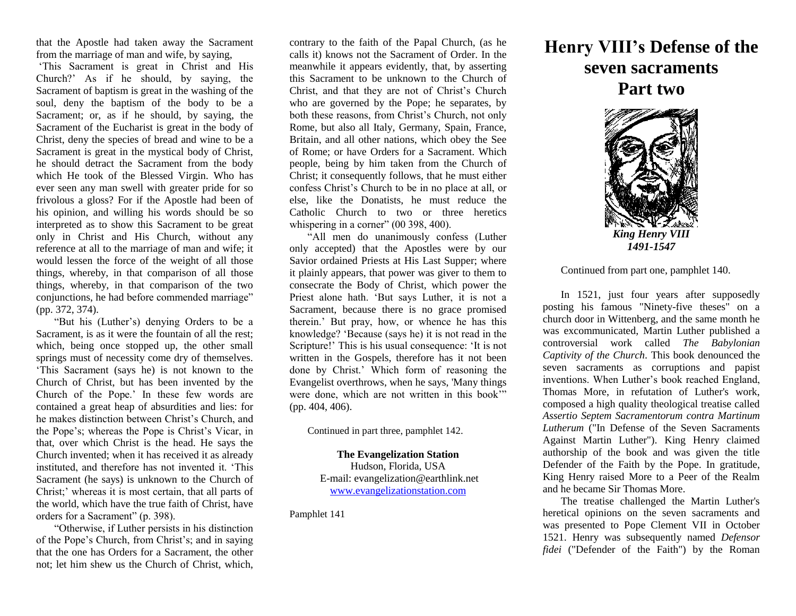that the Apostle had taken away the Sacrament from the marriage of man and wife, by saying,

'This Sacrament is great in Christ and His Church?' As if he should, by saying, the Sacrament of baptism is great in the washing of the soul, deny the baptism of the body to be a Sacrament; or, as if he should, by saying, the Sacrament of the Eucharist is great in the body of Christ, deny the species of bread and wine to be a Sacrament is great in the mystical body of Christ, he should detract the Sacrament from the body which He took of the Blessed Virgin. Who has ever seen any man swell with greater pride for so frivolous a gloss? For if the Apostle had been of his opinion, and willing his words should be so interpreted as to show this Sacrament to be great only in Christ and His Church, without any reference at all to the marriage of man and wife; it would lessen the force of the weight of all those things, whereby, in that comparison of all those things, whereby, in that comparison of the two conjunctions, he had before commended marriage" (pp. 372, 374).

"But his (Luther's) denying Orders to be a Sacrament, is as it were the fountain of all the rest; which, being once stopped up, the other small springs must of necessity come dry of themselves. 'This Sacrament (says he) is not known to the Church of Christ, but has been invented by the Church of the Pope.' In these few words are contained a great heap of absurdities and lies: for he makes distinction between Christ's Church, and the Pope's; whereas the Pope is Christ's Vicar, in that, over which Christ is the head. He says the Church invented; when it has received it as already instituted, and therefore has not invented it. 'This Sacrament (he says) is unknown to the Church of Christ;' whereas it is most certain, that all parts of the world, which have the true faith of Christ, have orders for a Sacrament" (p. 398).

"Otherwise, if Luther persists in his distinction of the Pope's Church, from Christ's; and in saying that the one has Orders for a Sacrament, the other not; let him shew us the Church of Christ, which,

contrary to the faith of the Papal Church, (as he calls it) knows not the Sacrament of Order. In the meanwhile it appears evidently, that, by asserting this Sacrament to be unknown to the Church of Christ, and that they are not of Christ's Church who are governed by the Pope; he separates, by both these reasons, from Christ's Church, not only Rome, but also all Italy, Germany, Spain, France, Britain, and all other nations, which obey the See of Rome; or have Orders for a Sacrament. Which people, being by him taken from the Church of Christ; it consequently follows, that he must either confess Christ's Church to be in no place at all, or else, like the Donatists, he must reduce the Catholic Church to two or three heretics whispering in a corner" (00 398, 400).

"All men do unanimously confess (Luther only accepted) that the Apostles were by our Savior ordained Priests at His Last Supper; where it plainly appears, that power was giver to them to consecrate the Body of Christ, which power the Priest alone hath. 'But says Luther, it is not a Sacrament, because there is no grace promised therein.' But pray, how, or whence he has this knowledge? 'Because (says he) it is not read in the Scripture!' This is his usual consequence: 'It is not written in the Gospels, therefore has it not been done by Christ.' Which form of reasoning the Evangelist overthrows, when he says, 'Many things were done, which are not written in this book"" (pp. 404, 406).

Continued in part three, pamphlet 142.

**The Evangelization Station** Hudson, Florida, USA E-mail: evangelization@earthlink.net [www.evangelizationstation.com](http://www.pjpiisoe.org/)

Pamphlet 141

## **Henry VIII's Defense of the seven sacraments Part two**



Continued from part one, pamphlet 140.

In 1521, just four years after supposedly posting his famous "Ninety-five theses" on a church door in Wittenberg, and the same month he was excommunicated, Martin Luther published a controversial work called *The Babylonian Captivity of the Church*. This book denounced the seven sacraments as corruptions and papist inventions. When Luther's book reached England, Thomas More, in refutation of Luther's work, composed a high quality theological treatise called *Assertio Septem Sacramentorum contra Martinum Lutherum* ("In Defense of the Seven Sacraments Against Martin Luther"). King Henry claimed authorship of the book and was given the title Defender of the Faith by the Pope. In gratitude, King Henry raised More to a Peer of the Realm and he became Sir Thomas More.

The treatise challenged the Martin Luther's heretical opinions on the seven sacraments and was presented to Pope Clement VII in October 1521. Henry was subsequently named *Defensor fidei* ("Defender of the Faith") by the Roman